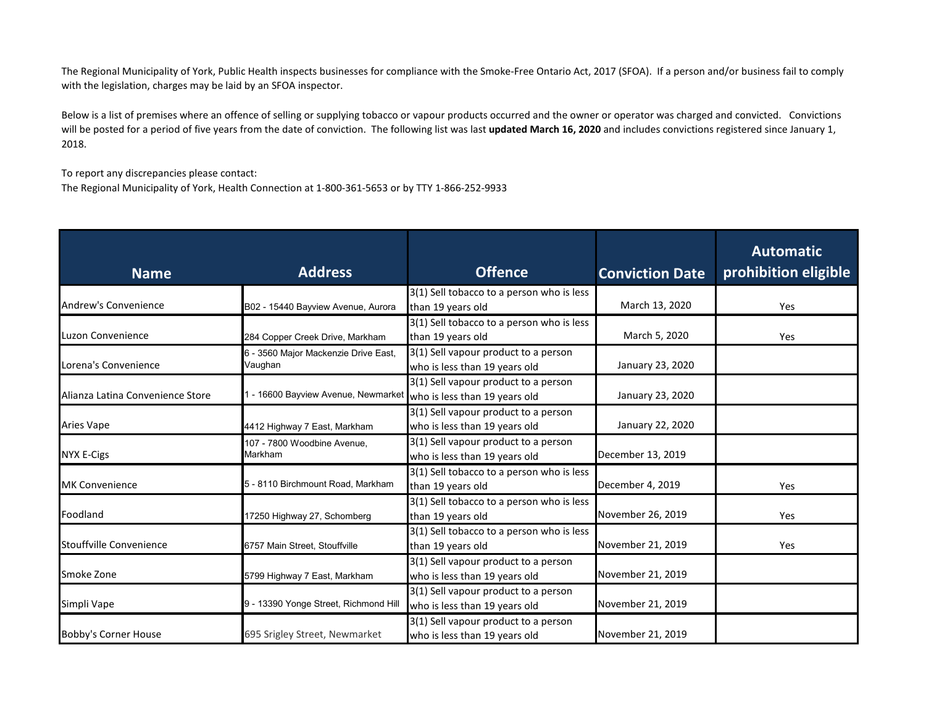The Regional Municipality of York, Public Health inspects businesses for compliance with the Smoke-Free Ontario Act, 2017 (SFOA). If a person and/or business fail to comply with the legislation, charges may be laid by an SFOA inspector.

Below is a list of premises where an offence of selling or supplying tobacco or vapour products occurred and the owner or operator was charged and convicted. Convictions will be posted for a period of five years from the date of conviction. The following list was last **updated March 16, 2020** and includes convictions registered since January 1, 2018.

To report any discrepancies please contact:

The Regional Municipality of York, Health Connection at 1-800-361-5653 or by TTY 1-866-252-9933

| <b>Name</b>                      | <b>Address</b>                                  | Offence                                                               | <b>Conviction Date</b> | <b>Automatic</b><br>prohibition eligible |
|----------------------------------|-------------------------------------------------|-----------------------------------------------------------------------|------------------------|------------------------------------------|
| Andrew's Convenience             | B02 - 15440 Bayview Avenue, Aurora              | 3(1) Sell tobacco to a person who is less<br>than 19 years old        | March 13, 2020         | Yes                                      |
|                                  |                                                 |                                                                       |                        |                                          |
| Luzon Convenience                | 284 Copper Creek Drive, Markham                 | 3(1) Sell tobacco to a person who is less<br>than 19 years old        | March 5, 2020          | Yes                                      |
| Lorena's Convenience             | 6 - 3560 Major Mackenzie Drive East,<br>Vaughan | 3(1) Sell vapour product to a person<br>who is less than 19 years old | January 23, 2020       |                                          |
| Alianza Latina Convenience Store | 1 - 16600 Bayview Avenue, Newmarket             | 3(1) Sell vapour product to a person<br>who is less than 19 years old | January 23, 2020       |                                          |
| <b>Aries Vape</b>                | 4412 Highway 7 East, Markham                    | 3(1) Sell vapour product to a person<br>who is less than 19 years old | January 22, 2020       |                                          |
| <b>NYX E-Cigs</b>                | 107 - 7800 Woodbine Avenue,<br>Markham          | 3(1) Sell vapour product to a person<br>who is less than 19 years old | December 13, 2019      |                                          |
| <b>MK Convenience</b>            | 5 - 8110 Birchmount Road, Markham               | 3(1) Sell tobacco to a person who is less<br>than 19 years old        | December 4, 2019       | Yes                                      |
| Foodland                         | 17250 Highway 27, Schomberg                     | 3(1) Sell tobacco to a person who is less<br>than 19 years old        | November 26, 2019      | Yes                                      |
| Stouffville Convenience          | 6757 Main Street, Stouffville                   | 3(1) Sell tobacco to a person who is less<br>than 19 years old        | November 21, 2019      | Yes                                      |
| Smoke Zone                       | 5799 Highway 7 East, Markham                    | 3(1) Sell vapour product to a person<br>who is less than 19 years old | November 21, 2019      |                                          |
| Simpli Vape                      | 9 - 13390 Yonge Street, Richmond Hill           | 3(1) Sell vapour product to a person<br>who is less than 19 years old | November 21, 2019      |                                          |
| <b>Bobby's Corner House</b>      | 695 Srigley Street, Newmarket                   | 3(1) Sell vapour product to a person<br>who is less than 19 years old | November 21, 2019      |                                          |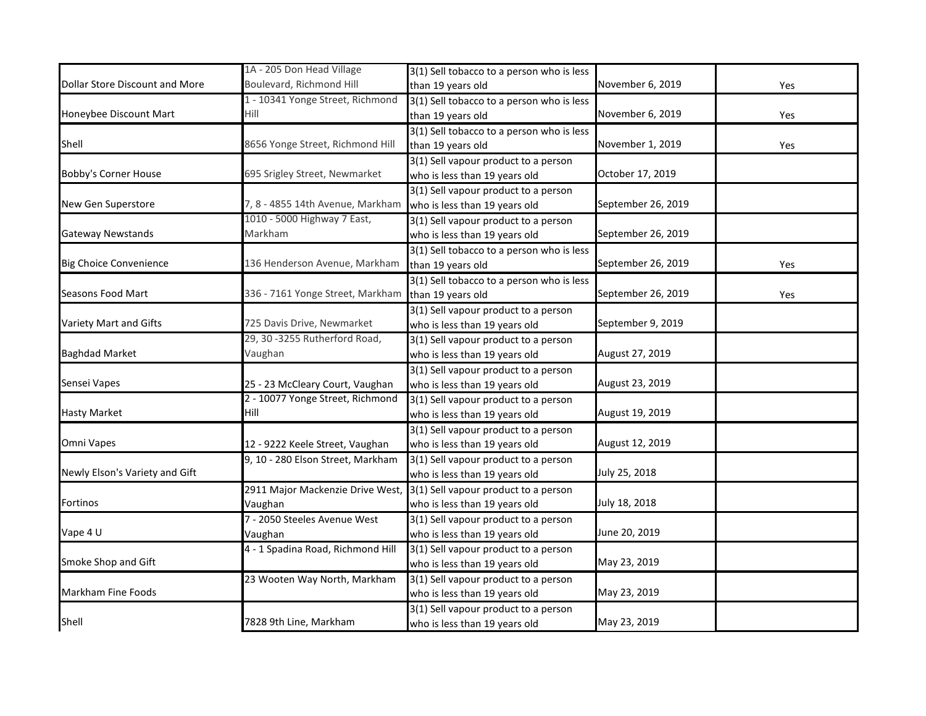|                                | 1A - 205 Don Head Village         | 3(1) Sell tobacco to a person who is less |                    |     |
|--------------------------------|-----------------------------------|-------------------------------------------|--------------------|-----|
| Dollar Store Discount and More | Boulevard, Richmond Hill          | than 19 years old                         | November 6, 2019   | Yes |
|                                | 1 - 10341 Yonge Street, Richmond  | 3(1) Sell tobacco to a person who is less |                    |     |
| Honeybee Discount Mart         | Hill                              | than 19 years old                         | November 6, 2019   | Yes |
|                                |                                   | 3(1) Sell tobacco to a person who is less |                    |     |
| Shell                          | 8656 Yonge Street, Richmond Hill  | than 19 years old                         | November 1, 2019   | Yes |
|                                |                                   | 3(1) Sell vapour product to a person      |                    |     |
| <b>Bobby's Corner House</b>    | 695 Srigley Street, Newmarket     | who is less than 19 years old             | October 17, 2019   |     |
|                                |                                   | 3(1) Sell vapour product to a person      |                    |     |
| New Gen Superstore             | 7, 8 - 4855 14th Avenue, Markham  | who is less than 19 years old             | September 26, 2019 |     |
|                                | 1010 - 5000 Highway 7 East,       | 3(1) Sell vapour product to a person      |                    |     |
| <b>Gateway Newstands</b>       | Markham                           | who is less than 19 years old             | September 26, 2019 |     |
|                                |                                   | 3(1) Sell tobacco to a person who is less |                    |     |
| <b>Big Choice Convenience</b>  | 136 Henderson Avenue, Markham     | than 19 years old                         | September 26, 2019 | Yes |
|                                |                                   | 3(1) Sell tobacco to a person who is less |                    |     |
| Seasons Food Mart              | 336 - 7161 Yonge Street, Markham  | than 19 years old                         | September 26, 2019 | Yes |
|                                |                                   | 3(1) Sell vapour product to a person      |                    |     |
| Variety Mart and Gifts         | 725 Davis Drive, Newmarket        | who is less than 19 years old             | September 9, 2019  |     |
|                                | 29, 30 -3255 Rutherford Road,     | 3(1) Sell vapour product to a person      |                    |     |
| <b>Baghdad Market</b>          | Vaughan                           | who is less than 19 years old             | August 27, 2019    |     |
|                                |                                   | 3(1) Sell vapour product to a person      |                    |     |
| Sensei Vapes                   | 25 - 23 McCleary Court, Vaughan   | who is less than 19 years old             | August 23, 2019    |     |
|                                | 2 - 10077 Yonge Street, Richmond  | 3(1) Sell vapour product to a person      |                    |     |
| <b>Hasty Market</b>            | Hill                              | who is less than 19 years old             | August 19, 2019    |     |
|                                |                                   | 3(1) Sell vapour product to a person      |                    |     |
| Omni Vapes                     | 12 - 9222 Keele Street, Vaughan   | who is less than 19 years old             | August 12, 2019    |     |
|                                | 9, 10 - 280 Elson Street, Markham | 3(1) Sell vapour product to a person      |                    |     |
| Newly Elson's Variety and Gift |                                   | who is less than 19 years old             | July 25, 2018      |     |
|                                | 2911 Major Mackenzie Drive West,  | 3(1) Sell vapour product to a person      |                    |     |
| Fortinos                       | Vaughan                           | who is less than 19 years old             | July 18, 2018      |     |
|                                | 7 - 2050 Steeles Avenue West      | 3(1) Sell vapour product to a person      |                    |     |
| Vape 4 U                       | Vaughan                           | who is less than 19 years old             | June 20, 2019      |     |
|                                | 4 - 1 Spadina Road, Richmond Hill | 3(1) Sell vapour product to a person      |                    |     |
| Smoke Shop and Gift            |                                   | who is less than 19 years old             | May 23, 2019       |     |
|                                | 23 Wooten Way North, Markham      | 3(1) Sell vapour product to a person      |                    |     |
| Markham Fine Foods             |                                   | who is less than 19 years old             | May 23, 2019       |     |
|                                |                                   | 3(1) Sell vapour product to a person      |                    |     |
| Shell                          | 7828 9th Line, Markham            | who is less than 19 years old             | May 23, 2019       |     |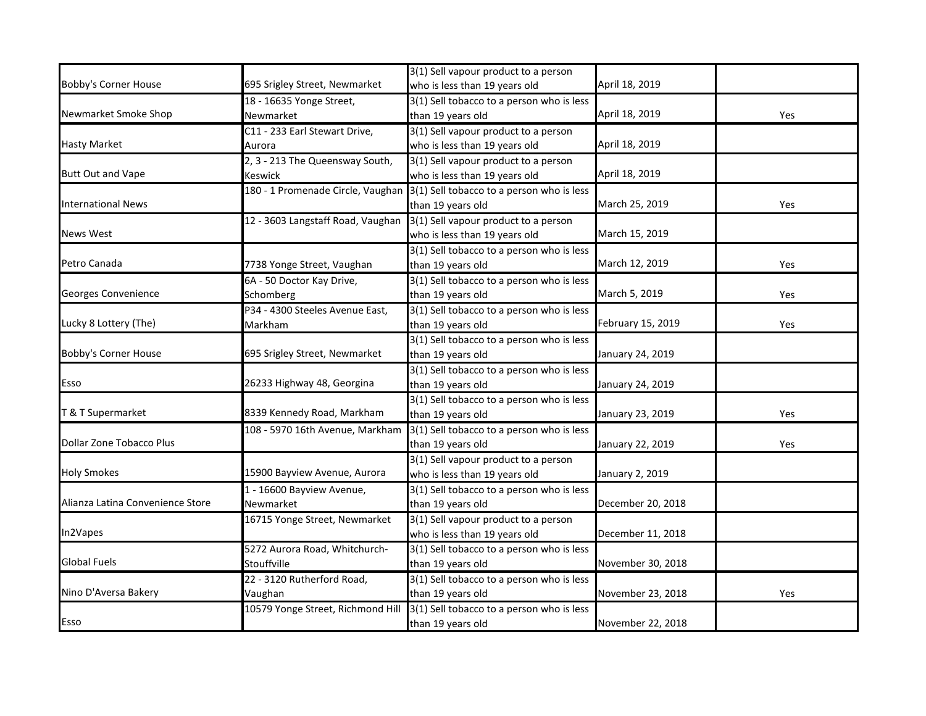|                                  |                                   | 3(1) Sell vapour product to a person      |                   |     |
|----------------------------------|-----------------------------------|-------------------------------------------|-------------------|-----|
| <b>Bobby's Corner House</b>      | 695 Srigley Street, Newmarket     | who is less than 19 years old             | April 18, 2019    |     |
|                                  | 18 - 16635 Yonge Street,          | 3(1) Sell tobacco to a person who is less |                   |     |
| Newmarket Smoke Shop             | Newmarket                         | than 19 years old                         | April 18, 2019    | Yes |
|                                  | C11 - 233 Earl Stewart Drive,     | 3(1) Sell vapour product to a person      |                   |     |
| <b>Hasty Market</b>              | Aurora                            | who is less than 19 years old             | April 18, 2019    |     |
|                                  | 2, 3 - 213 The Queensway South,   | 3(1) Sell vapour product to a person      |                   |     |
| <b>Butt Out and Vape</b>         | Keswick                           | who is less than 19 years old             | April 18, 2019    |     |
|                                  | 180 - 1 Promenade Circle, Vaughan | 3(1) Sell tobacco to a person who is less |                   |     |
| <b>International News</b>        |                                   | than 19 years old                         | March 25, 2019    | Yes |
|                                  | 12 - 3603 Langstaff Road, Vaughan | 3(1) Sell vapour product to a person      |                   |     |
| <b>News West</b>                 |                                   | who is less than 19 years old             | March 15, 2019    |     |
|                                  |                                   | 3(1) Sell tobacco to a person who is less |                   |     |
| Petro Canada                     | 7738 Yonge Street, Vaughan        | than 19 years old                         | March 12, 2019    | Yes |
|                                  | 6A - 50 Doctor Kay Drive,         | 3(1) Sell tobacco to a person who is less |                   |     |
| Georges Convenience              | Schomberg                         | than 19 years old                         | March 5, 2019     | Yes |
|                                  | P34 - 4300 Steeles Avenue East,   | 3(1) Sell tobacco to a person who is less |                   |     |
| Lucky 8 Lottery (The)            | Markham                           | than 19 years old                         | February 15, 2019 | Yes |
|                                  |                                   | 3(1) Sell tobacco to a person who is less |                   |     |
| <b>Bobby's Corner House</b>      | 695 Srigley Street, Newmarket     | than 19 years old                         | January 24, 2019  |     |
|                                  |                                   | 3(1) Sell tobacco to a person who is less |                   |     |
| Esso                             | 26233 Highway 48, Georgina        | than 19 years old                         | January 24, 2019  |     |
|                                  |                                   | 3(1) Sell tobacco to a person who is less |                   |     |
| T & T Supermarket                | 8339 Kennedy Road, Markham        | than 19 years old                         | January 23, 2019  | Yes |
|                                  | 108 - 5970 16th Avenue, Markham   | 3(1) Sell tobacco to a person who is less |                   |     |
| <b>Dollar Zone Tobacco Plus</b>  |                                   | than 19 years old                         | January 22, 2019  | Yes |
|                                  |                                   | 3(1) Sell vapour product to a person      |                   |     |
| <b>Holy Smokes</b>               | 15900 Bayview Avenue, Aurora      | who is less than 19 years old             | January 2, 2019   |     |
|                                  | 1 - 16600 Bayview Avenue,         | 3(1) Sell tobacco to a person who is less |                   |     |
| Alianza Latina Convenience Store | Newmarket                         | than 19 years old                         | December 20, 2018 |     |
|                                  | 16715 Yonge Street, Newmarket     | 3(1) Sell vapour product to a person      |                   |     |
| In2Vapes                         |                                   | who is less than 19 years old             | December 11, 2018 |     |
|                                  | 5272 Aurora Road, Whitchurch-     | 3(1) Sell tobacco to a person who is less |                   |     |
| <b>Global Fuels</b>              | Stouffville                       | than 19 years old                         | November 30, 2018 |     |
|                                  | 22 - 3120 Rutherford Road,        | 3(1) Sell tobacco to a person who is less |                   |     |
| Nino D'Aversa Bakery             | Vaughan                           | than 19 years old                         | November 23, 2018 | Yes |
|                                  | 10579 Yonge Street, Richmond Hill | 3(1) Sell tobacco to a person who is less |                   |     |
| Esso                             |                                   | than 19 years old                         | November 22, 2018 |     |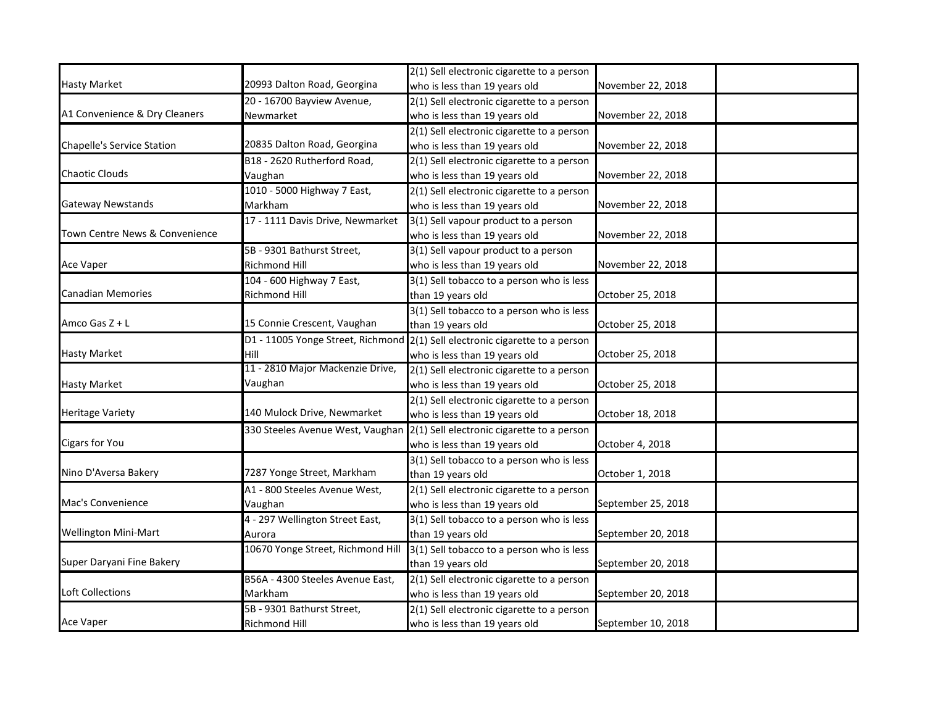|                                   |                                   | 2(1) Sell electronic cigarette to a person                                   |                    |
|-----------------------------------|-----------------------------------|------------------------------------------------------------------------------|--------------------|
| <b>Hasty Market</b>               | 20993 Dalton Road, Georgina       | who is less than 19 years old                                                | November 22, 2018  |
|                                   | 20 - 16700 Bayview Avenue,        | 2(1) Sell electronic cigarette to a person                                   |                    |
| A1 Convenience & Dry Cleaners     | Newmarket                         | who is less than 19 years old                                                | November 22, 2018  |
|                                   |                                   | 2(1) Sell electronic cigarette to a person                                   |                    |
| <b>Chapelle's Service Station</b> | 20835 Dalton Road, Georgina       | who is less than 19 years old                                                | November 22, 2018  |
|                                   | B18 - 2620 Rutherford Road,       | 2(1) Sell electronic cigarette to a person                                   |                    |
| <b>Chaotic Clouds</b>             | Vaughan                           | who is less than 19 years old                                                | November 22, 2018  |
|                                   | 1010 - 5000 Highway 7 East,       | 2(1) Sell electronic cigarette to a person                                   |                    |
| <b>Gateway Newstands</b>          | Markham                           | who is less than 19 years old                                                | November 22, 2018  |
|                                   | 17 - 1111 Davis Drive, Newmarket  | 3(1) Sell vapour product to a person                                         |                    |
| Town Centre News & Convenience    |                                   | who is less than 19 years old                                                | November 22, 2018  |
|                                   | 5B - 9301 Bathurst Street,        | 3(1) Sell vapour product to a person                                         |                    |
| Ace Vaper                         | <b>Richmond Hill</b>              | who is less than 19 years old                                                | November 22, 2018  |
|                                   | 104 - 600 Highway 7 East,         | 3(1) Sell tobacco to a person who is less                                    |                    |
| <b>Canadian Memories</b>          | <b>Richmond Hill</b>              | than 19 years old                                                            | October 25, 2018   |
|                                   |                                   | 3(1) Sell tobacco to a person who is less                                    |                    |
| Amco Gas Z + L                    | 15 Connie Crescent, Vaughan       | than 19 years old                                                            | October 25, 2018   |
|                                   |                                   | D1 - 11005 Yonge Street, Richmond 2(1) Sell electronic cigarette to a person |                    |
| <b>Hasty Market</b>               | Hill                              | who is less than 19 years old                                                | October 25, 2018   |
|                                   | 11 - 2810 Major Mackenzie Drive,  | 2(1) Sell electronic cigarette to a person                                   |                    |
| <b>Hasty Market</b>               | Vaughan                           | who is less than 19 years old                                                | October 25, 2018   |
|                                   |                                   | 2(1) Sell electronic cigarette to a person                                   |                    |
| <b>Heritage Variety</b>           | 140 Mulock Drive, Newmarket       | who is less than 19 years old                                                | October 18, 2018   |
|                                   | 330 Steeles Avenue West, Vaughan  | 2(1) Sell electronic cigarette to a person                                   |                    |
| Cigars for You                    |                                   | who is less than 19 years old                                                | October 4, 2018    |
|                                   |                                   | 3(1) Sell tobacco to a person who is less                                    |                    |
| Nino D'Aversa Bakery              | 7287 Yonge Street, Markham        | than 19 years old                                                            | October 1, 2018    |
|                                   | A1 - 800 Steeles Avenue West,     | 2(1) Sell electronic cigarette to a person                                   |                    |
| Mac's Convenience                 | Vaughan                           | who is less than 19 years old                                                | September 25, 2018 |
|                                   | 4 - 297 Wellington Street East,   | 3(1) Sell tobacco to a person who is less                                    |                    |
| <b>Wellington Mini-Mart</b>       | Aurora                            | than 19 years old                                                            | September 20, 2018 |
|                                   | 10670 Yonge Street, Richmond Hill | 3(1) Sell tobacco to a person who is less                                    |                    |
| Super Daryani Fine Bakery         |                                   | than 19 years old                                                            | September 20, 2018 |
|                                   | B56A - 4300 Steeles Avenue East,  | 2(1) Sell electronic cigarette to a person                                   |                    |
| <b>Loft Collections</b>           | Markham                           | who is less than 19 years old                                                | September 20, 2018 |
|                                   | 5B - 9301 Bathurst Street,        | 2(1) Sell electronic cigarette to a person                                   |                    |
| Ace Vaper                         | <b>Richmond Hill</b>              | who is less than 19 years old                                                | September 10, 2018 |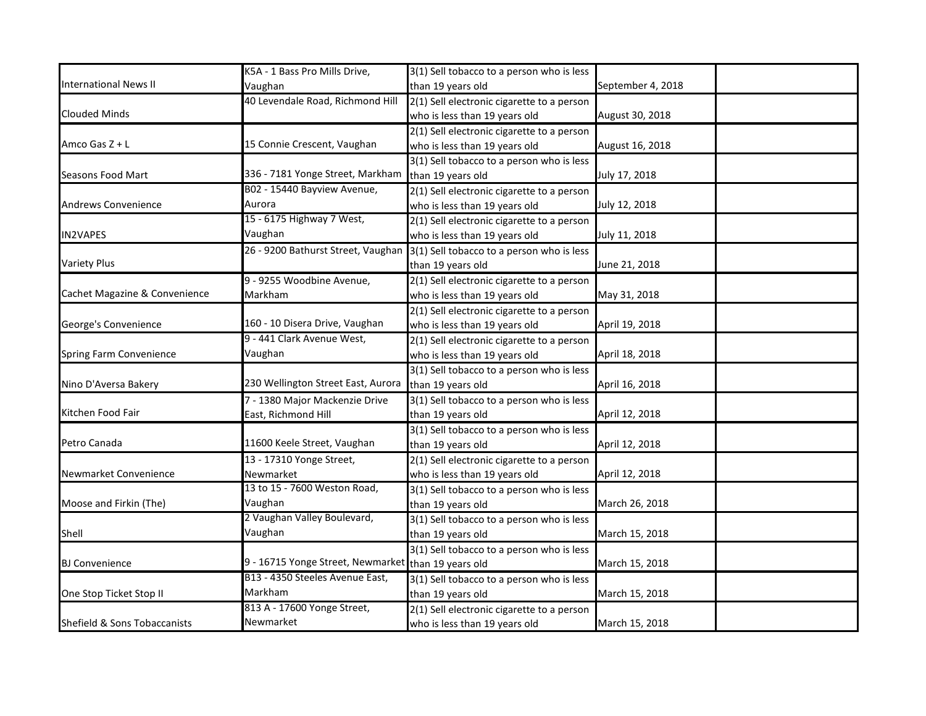|                               | K5A - 1 Bass Pro Mills Drive,                       | 3(1) Sell tobacco to a person who is less  |                   |
|-------------------------------|-----------------------------------------------------|--------------------------------------------|-------------------|
| <b>International News II</b>  | Vaughan                                             | than 19 years old                          | September 4, 2018 |
|                               | 40 Levendale Road, Richmond Hill                    | 2(1) Sell electronic cigarette to a person |                   |
| <b>Clouded Minds</b>          |                                                     | who is less than 19 years old              | August 30, 2018   |
|                               |                                                     | 2(1) Sell electronic cigarette to a person |                   |
| Amco Gas Z + L                | 15 Connie Crescent, Vaughan                         | who is less than 19 years old              | August 16, 2018   |
|                               |                                                     | 3(1) Sell tobacco to a person who is less  |                   |
| Seasons Food Mart             | 336 - 7181 Yonge Street, Markham                    | than 19 years old                          | July 17, 2018     |
|                               | B02 - 15440 Bayview Avenue,                         | 2(1) Sell electronic cigarette to a person |                   |
| <b>Andrews Convenience</b>    | Aurora                                              | who is less than 19 years old              | July 12, 2018     |
|                               | 15 - 6175 Highway 7 West,                           | 2(1) Sell electronic cigarette to a person |                   |
| <b>IN2VAPES</b>               | Vaughan                                             | who is less than 19 years old              | July 11, 2018     |
|                               | 26 - 9200 Bathurst Street, Vaughan                  | 3(1) Sell tobacco to a person who is less  |                   |
| <b>Variety Plus</b>           |                                                     | than 19 years old                          | June 21, 2018     |
|                               | 9 - 9255 Woodbine Avenue,                           | 2(1) Sell electronic cigarette to a person |                   |
| Cachet Magazine & Convenience | Markham                                             | who is less than 19 years old              | May 31, 2018      |
|                               |                                                     | 2(1) Sell electronic cigarette to a person |                   |
| George's Convenience          | 160 - 10 Disera Drive, Vaughan                      | who is less than 19 years old              | April 19, 2018    |
|                               | 9 - 441 Clark Avenue West,                          | 2(1) Sell electronic cigarette to a person |                   |
| Spring Farm Convenience       | Vaughan                                             | who is less than 19 years old              | April 18, 2018    |
|                               |                                                     | 3(1) Sell tobacco to a person who is less  |                   |
| Nino D'Aversa Bakery          | 230 Wellington Street East, Aurora                  | than 19 years old                          | April 16, 2018    |
|                               | 7 - 1380 Major Mackenzie Drive                      | 3(1) Sell tobacco to a person who is less  |                   |
| Kitchen Food Fair             | East, Richmond Hill                                 | than 19 years old                          | April 12, 2018    |
|                               |                                                     | 3(1) Sell tobacco to a person who is less  |                   |
| Petro Canada                  | 11600 Keele Street, Vaughan                         | than 19 years old                          | April 12, 2018    |
|                               | 13 - 17310 Yonge Street,                            | 2(1) Sell electronic cigarette to a person |                   |
| Newmarket Convenience         | Newmarket                                           | who is less than 19 years old              | April 12, 2018    |
|                               | 13 to 15 - 7600 Weston Road,                        | 3(1) Sell tobacco to a person who is less  |                   |
| Moose and Firkin (The)        | Vaughan                                             | than 19 years old                          | March 26, 2018    |
|                               | 2 Vaughan Valley Boulevard,                         | 3(1) Sell tobacco to a person who is less  |                   |
| Shell                         | Vaughan                                             | than 19 years old                          | March 15, 2018    |
|                               |                                                     | 3(1) Sell tobacco to a person who is less  |                   |
| <b>BJ Convenience</b>         | 9 - 16715 Yonge Street, Newmarket than 19 years old |                                            | March 15, 2018    |
|                               | B13 - 4350 Steeles Avenue East,                     | 3(1) Sell tobacco to a person who is less  |                   |
| One Stop Ticket Stop II       | Markham                                             | than 19 years old                          | March 15, 2018    |
|                               | 813 A - 17600 Yonge Street,                         | 2(1) Sell electronic cigarette to a person |                   |
| Shefield & Sons Tobaccanists  | Newmarket                                           | who is less than 19 years old              | March 15, 2018    |